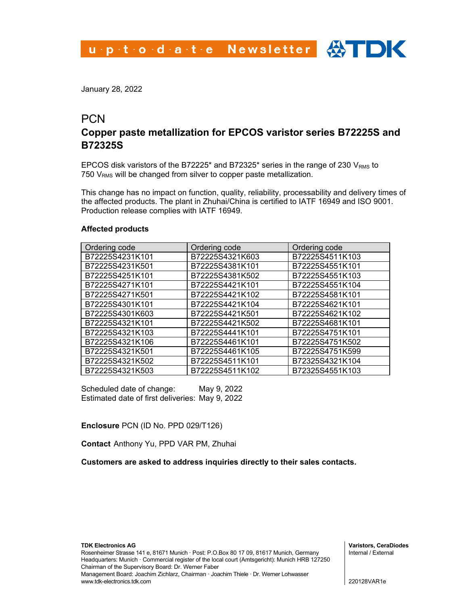January 28, 2022

## **PCN**

# **Copper paste metallization for EPCOS varistor series B72225S and B72325S**

EPCOS disk varistors of the B72225<sup>\*</sup> and B72325<sup>\*</sup> series in the range of 230  $V<sub>RMS</sub>$  to 750  $V<sub>RMS</sub>$  will be changed from silver to copper paste metallization.

This change has no impact on function, quality, reliability, processability and delivery times of the affected products. The plant in Zhuhai/China is certified to IATF 16949 and ISO 9001. Production release complies with IATF 16949.

#### **Affected products**

| Ordering code   | Ordering code   | Ordering code   |
|-----------------|-----------------|-----------------|
| B72225S4231K101 | B72225S4321K603 | B72225S4511K103 |
| B72225S4231K501 | B72225S4381K101 | B72225S4551K101 |
| B72225S4251K101 | B72225S4381K502 | B72225S4551K103 |
| B72225S4271K101 | B72225S4421K101 | B72225S4551K104 |
| B72225S4271K501 | B72225S4421K102 | B72225S4581K101 |
| B72225S4301K101 | B72225S4421K104 | B72225S4621K101 |
| B72225S4301K603 | B72225S4421K501 | B72225S4621K102 |
| B72225S4321K101 | B72225S4421K502 | B72225S4681K101 |
| B72225S4321K103 | B72225S4441K101 | B72225S4751K101 |
| B72225S4321K106 | B72225S4461K101 | B72225S4751K502 |
| B72225S4321K501 | B72225S4461K105 | B72225S4751K599 |
| B72225S4321K502 | B72225S4511K101 | B72325S4321K104 |
| B72225S4321K503 | B72225S4511K102 | B72325S4551K103 |

Scheduled date of change: May 9, 2022 Estimated date of first deliveries: May 9, 2022

#### **Enclosure** PCN (ID No. PPD 029/T126)

**Contact** Anthony Yu, PPD VAR PM, Zhuhai

**Customers are asked to address inquiries directly to their sales contacts.**

**Varistors, CeraDiodes** Internal / External

220128VAR1e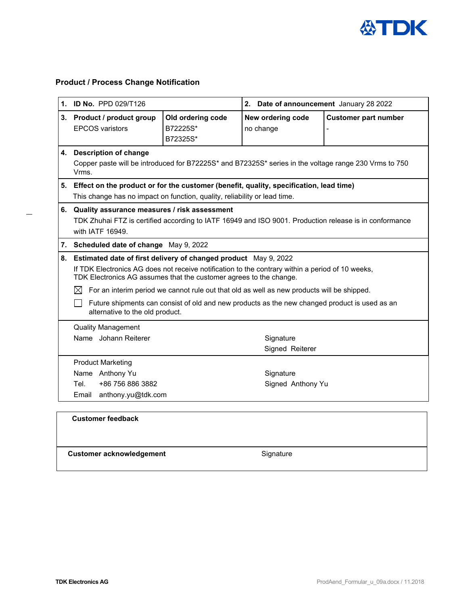

## **Product / Process Change Notification**

|    | 1. ID No. PPD 029/T126                                                                                                                                                                                                                                                                                                                                                                                                                                                                  |                                           | 2. Date of announcement January 28 2022 |                             |  |
|----|-----------------------------------------------------------------------------------------------------------------------------------------------------------------------------------------------------------------------------------------------------------------------------------------------------------------------------------------------------------------------------------------------------------------------------------------------------------------------------------------|-------------------------------------------|-----------------------------------------|-----------------------------|--|
|    | 3. Product / product group<br><b>EPCOS</b> varistors                                                                                                                                                                                                                                                                                                                                                                                                                                    | Old ordering code<br>B72225S*<br>B72325S* | New ordering code<br>no change          | <b>Customer part number</b> |  |
|    | 4. Description of change<br>Copper paste will be introduced for B72225S* and B72325S* series in the voltage range 230 Vrms to 750<br>Vrms.                                                                                                                                                                                                                                                                                                                                              |                                           |                                         |                             |  |
|    | 5. Effect on the product or for the customer (benefit, quality, specification, lead time)<br>This change has no impact on function, quality, reliability or lead time.                                                                                                                                                                                                                                                                                                                  |                                           |                                         |                             |  |
| 6. | Quality assurance measures / risk assessment<br>TDK Zhuhai FTZ is certified according to IATF 16949 and ISO 9001. Production release is in conformance<br>with IATF 16949.                                                                                                                                                                                                                                                                                                              |                                           |                                         |                             |  |
|    | 7. Scheduled date of change May 9, 2022                                                                                                                                                                                                                                                                                                                                                                                                                                                 |                                           |                                         |                             |  |
| 8. | Estimated date of first delivery of changed product May 9, 2022<br>If TDK Electronics AG does not receive notification to the contrary within a period of 10 weeks,<br>TDK Electronics AG assumes that the customer agrees to the change.<br>$\boxtimes$ For an interim period we cannot rule out that old as well as new products will be shipped.<br>Future shipments can consist of old and new products as the new changed product is used as an<br>alternative to the old product. |                                           |                                         |                             |  |
|    | <b>Quality Management</b><br>Name Johann Reiterer                                                                                                                                                                                                                                                                                                                                                                                                                                       |                                           | Signature<br>Signed Reiterer            |                             |  |
|    | <b>Product Marketing</b><br>Name Anthony Yu<br>+86 756 886 3882<br>Tel.<br>Email<br>anthony.yu@tdk.com                                                                                                                                                                                                                                                                                                                                                                                  |                                           | Signature<br>Signed Anthony Yu          |                             |  |
|    | <b>Customer feedback</b>                                                                                                                                                                                                                                                                                                                                                                                                                                                                |                                           |                                         |                             |  |
|    | <b>Customer acknowledgement</b>                                                                                                                                                                                                                                                                                                                                                                                                                                                         |                                           | Signature                               |                             |  |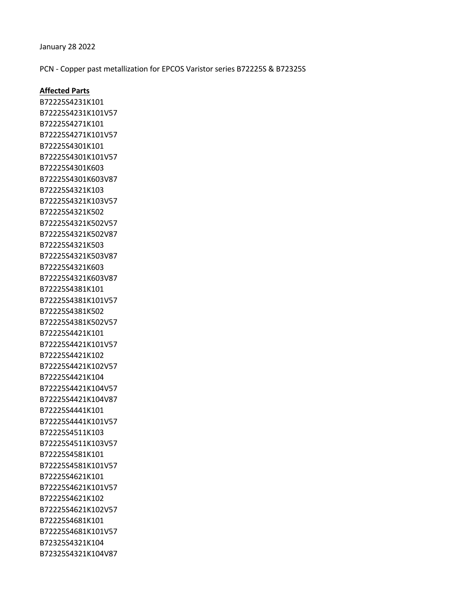January 28 2022

PCN - Copper past metallization for EPCOS Varistor series B72225S & B72325S

### **Affected Parts**

B72225S4231K101 B72225S4231K101V57 B72225S4271K101 B72225S4271K101V57 B72225S4301K101 B72225S4301K101V57 B72225S4301K603 B72225S4301K603V87 B72225S4321K103 B72225S4321K103V57 B72225S4321K502 B72225S4321K502V57 B72225S4321K502V87 B72225S4321K503 B72225S4321K503V87 B72225S4321K603 B72225S4321K603V87 B72225S4381K101 B72225S4381K101V57 B72225S4381K502 B72225S4381K502V57 B72225S4421K101 B72225S4421K101V57 B72225S4421K102 B72225S4421K102V57 B72225S4421K104 B72225S4421K104V57 B72225S4421K104V87 B72225S4441K101 B72225S4441K101V57 B72225S4511K103 B72225S4511K103V57 B72225S4581K101 B72225S4581K101V57 B72225S4621K101 B72225S4621K101V57 B72225S4621K102 B72225S4621K102V57 B72225S4681K101 B72225S4681K101V57 B72325S4321K104 B72325S4321K104V87